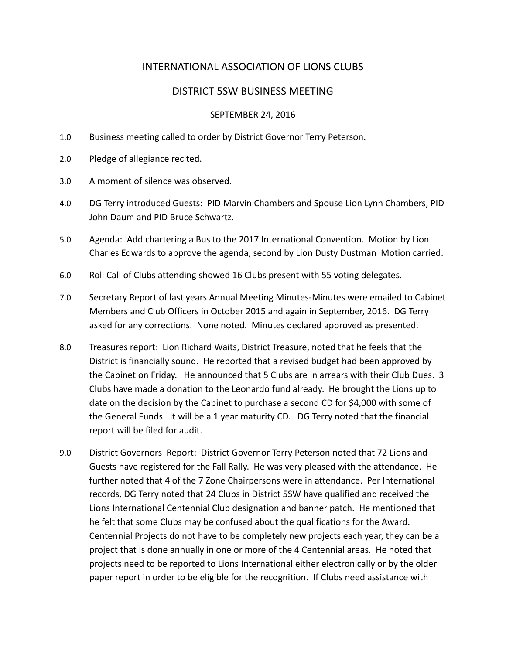# INTERNATIONAL ASSOCIATION OF LIONS CLUBS

## DISTRICT 5SW BUSINESS MEETING

#### SEPTEMBER 24, 2016

- 1.0 Business meeting called to order by District Governor Terry Peterson.
- 2.0 Pledge of allegiance recited.
- 3.0 A moment of silence was observed.
- 4.0 DG Terry introduced Guests: PID Marvin Chambers and Spouse Lion Lynn Chambers, PID John Daum and PID Bruce Schwartz.
- 5.0 Agenda: Add chartering a Bus to the 2017 International Convention. Motion by Lion Charles Edwards to approve the agenda, second by Lion Dusty Dustman Motion carried.
- 6.0 Roll Call of Clubs attending showed 16 Clubs present with 55 voting delegates.
- 7.0 Secretary Report of last years Annual Meeting Minutes-Minutes were emailed to Cabinet Members and Club Officers in October 2015 and again in September, 2016. DG Terry asked for any corrections. None noted. Minutes declared approved as presented.
- 8.0 Treasures report: Lion Richard Waits, District Treasure, noted that he feels that the District is financially sound. He reported that a revised budget had been approved by the Cabinet on Friday. He announced that 5 Clubs are in arrears with their Club Dues. 3 Clubs have made a donation to the Leonardo fund already. He brought the Lions up to date on the decision by the Cabinet to purchase a second CD for \$4,000 with some of the General Funds. It will be a 1 year maturity CD. DG Terry noted that the financial report will be filed for audit.
- 9.0 District Governors Report: District Governor Terry Peterson noted that 72 Lions and Guests have registered for the Fall Rally. He was very pleased with the attendance. He further noted that 4 of the 7 Zone Chairpersons were in attendance. Per International records, DG Terry noted that 24 Clubs in District 5SW have qualified and received the Lions International Centennial Club designation and banner patch. He mentioned that he felt that some Clubs may be confused about the qualifications for the Award. Centennial Projects do not have to be completely new projects each year, they can be a project that is done annually in one or more of the 4 Centennial areas. He noted that projects need to be reported to Lions International either electronically or by the older paper report in order to be eligible for the recognition. If Clubs need assistance with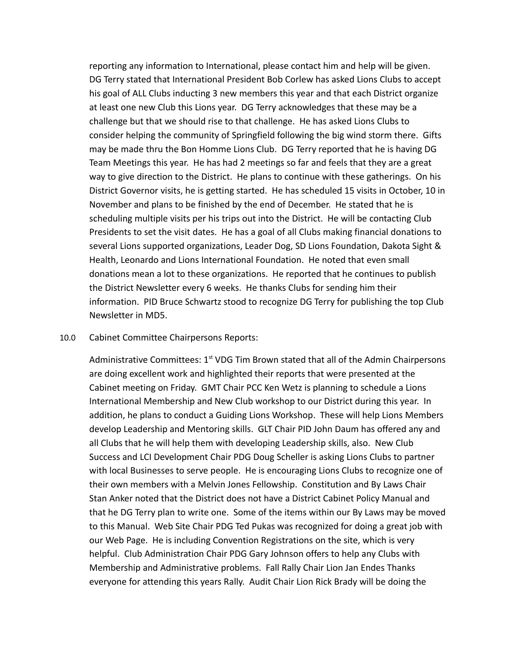reporting any information to International, please contact him and help will be given. DG Terry stated that International President Bob Corlew has asked Lions Clubs to accept his goal of ALL Clubs inducting 3 new members this year and that each District organize at least one new Club this Lions year. DG Terry acknowledges that these may be a challenge but that we should rise to that challenge. He has asked Lions Clubs to consider helping the community of Springfield following the big wind storm there. Gifts may be made thru the Bon Homme Lions Club. DG Terry reported that he is having DG Team Meetings this year. He has had 2 meetings so far and feels that they are a great way to give direction to the District. He plans to continue with these gatherings. On his District Governor visits, he is getting started. He has scheduled 15 visits in October, 10 in November and plans to be finished by the end of December. He stated that he is scheduling multiple visits per his trips out into the District. He will be contacting Club Presidents to set the visit dates. He has a goal of all Clubs making financial donations to several Lions supported organizations, Leader Dog, SD Lions Foundation, Dakota Sight & Health, Leonardo and Lions International Foundation. He noted that even small donations mean a lot to these organizations. He reported that he continues to publish the District Newsletter every 6 weeks. He thanks Clubs for sending him their information. PID Bruce Schwartz stood to recognize DG Terry for publishing the top Club Newsletter in MD5.

#### 10.0 Cabinet Committee Chairpersons Reports:

Administrative Committees:  $1<sup>st</sup>$  VDG Tim Brown stated that all of the Admin Chairpersons are doing excellent work and highlighted their reports that were presented at the Cabinet meeting on Friday. GMT Chair PCC Ken Wetz is planning to schedule a Lions International Membership and New Club workshop to our District during this year. In addition, he plans to conduct a Guiding Lions Workshop. These will help Lions Members develop Leadership and Mentoring skills. GLT Chair PID John Daum has offered any and all Clubs that he will help them with developing Leadership skills, also. New Club Success and LCI Development Chair PDG Doug Scheller is asking Lions Clubs to partner with local Businesses to serve people. He is encouraging Lions Clubs to recognize one of their own members with a Melvin Jones Fellowship. Constitution and By Laws Chair Stan Anker noted that the District does not have a District Cabinet Policy Manual and that he DG Terry plan to write one. Some of the items within our By Laws may be moved to this Manual. Web Site Chair PDG Ted Pukas was recognized for doing a great job with our Web Page. He is including Convention Registrations on the site, which is very helpful. Club Administration Chair PDG Gary Johnson offers to help any Clubs with Membership and Administrative problems. Fall Rally Chair Lion Jan Endes Thanks everyone for attending this years Rally. Audit Chair Lion Rick Brady will be doing the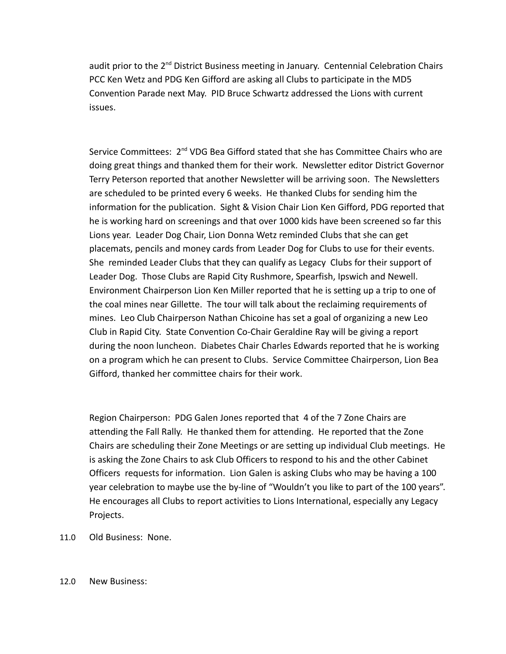audit prior to the 2<sup>nd</sup> District Business meeting in January. Centennial Celebration Chairs PCC Ken Wetz and PDG Ken Gifford are asking all Clubs to participate in the MD5 Convention Parade next May. PID Bruce Schwartz addressed the Lions with current issues.

Service Committees: 2<sup>nd</sup> VDG Bea Gifford stated that she has Committee Chairs who are doing great things and thanked them for their work. Newsletter editor District Governor Terry Peterson reported that another Newsletter will be arriving soon. The Newsletters are scheduled to be printed every 6 weeks. He thanked Clubs for sending him the information for the publication. Sight & Vision Chair Lion Ken Gifford, PDG reported that he is working hard on screenings and that over 1000 kids have been screened so far this Lions year. Leader Dog Chair, Lion Donna Wetz reminded Clubs that she can get placemats, pencils and money cards from Leader Dog for Clubs to use for their events. She reminded Leader Clubs that they can qualify as Legacy Clubs for their support of Leader Dog. Those Clubs are Rapid City Rushmore, Spearfish, Ipswich and Newell. Environment Chairperson Lion Ken Miller reported that he is setting up a trip to one of the coal mines near Gillette. The tour will talk about the reclaiming requirements of mines. Leo Club Chairperson Nathan Chicoine has set a goal of organizing a new Leo Club in Rapid City. State Convention Co-Chair Geraldine Ray will be giving a report during the noon luncheon. Diabetes Chair Charles Edwards reported that he is working on a program which he can present to Clubs. Service Committee Chairperson, Lion Bea Gifford, thanked her committee chairs for their work.

Region Chairperson: PDG Galen Jones reported that 4 of the 7 Zone Chairs are attending the Fall Rally. He thanked them for attending. He reported that the Zone Chairs are scheduling their Zone Meetings or are setting up individual Club meetings. He is asking the Zone Chairs to ask Club Officers to respond to his and the other Cabinet Officers requests for information. Lion Galen is asking Clubs who may be having a 100 year celebration to maybe use the by-line of "Wouldn't you like to part of the 100 years". He encourages all Clubs to report activities to Lions International, especially any Legacy Projects.

11.0 Old Business: None.

### 12.0 New Business: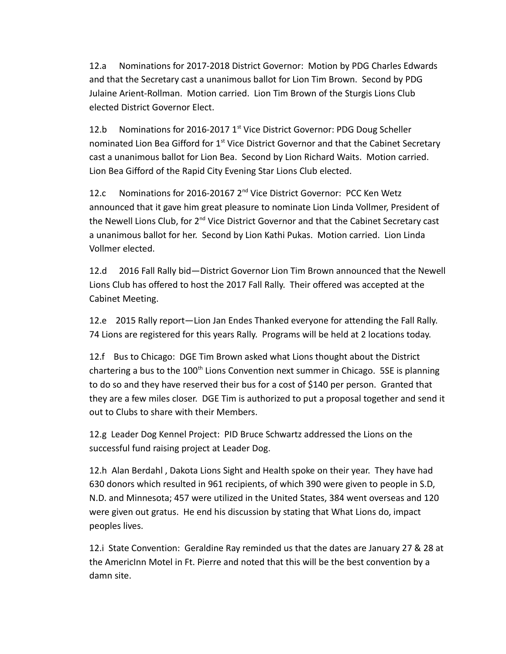12.a Nominations for 2017-2018 District Governor: Motion by PDG Charles Edwards and that the Secretary cast a unanimous ballot for Lion Tim Brown. Second by PDG Julaine Arient-Rollman. Motion carried. Lion Tim Brown of the Sturgis Lions Club elected District Governor Elect.

12.b Nominations for 2016-2017 1<sup>st</sup> Vice District Governor: PDG Doug Scheller nominated Lion Bea Gifford for 1st Vice District Governor and that the Cabinet Secretary cast a unanimous ballot for Lion Bea. Second by Lion Richard Waits. Motion carried. Lion Bea Gifford of the Rapid City Evening Star Lions Club elected.

12.c Nominations for 2016-20167 2<sup>nd</sup> Vice District Governor: PCC Ken Wetz announced that it gave him great pleasure to nominate Lion Linda Vollmer, President of the Newell Lions Club, for  $2<sup>nd</sup>$  Vice District Governor and that the Cabinet Secretary cast a unanimous ballot for her. Second by Lion Kathi Pukas. Motion carried. Lion Linda Vollmer elected.

12.d 2016 Fall Rally bid—District Governor Lion Tim Brown announced that the Newell Lions Club has offered to host the 2017 Fall Rally. Their offered was accepted at the Cabinet Meeting.

12.e 2015 Rally report—Lion Jan Endes Thanked everyone for attending the Fall Rally. 74 Lions are registered for this years Rally. Programs will be held at 2 locations today.

12.f Bus to Chicago: DGE Tim Brown asked what Lions thought about the District chartering a bus to the  $100<sup>th</sup>$  Lions Convention next summer in Chicago. 5SE is planning to do so and they have reserved their bus for a cost of \$140 per person. Granted that they are a few miles closer. DGE Tim is authorized to put a proposal together and send it out to Clubs to share with their Members.

12.g Leader Dog Kennel Project: PID Bruce Schwartz addressed the Lions on the successful fund raising project at Leader Dog.

12.h Alan Berdahl , Dakota Lions Sight and Health spoke on their year. They have had 630 donors which resulted in 961 recipients, of which 390 were given to people in S.D, N.D. and Minnesota; 457 were utilized in the United States, 384 went overseas and 120 were given out gratus. He end his discussion by stating that What Lions do, impact peoples lives.

12.i State Convention: Geraldine Ray reminded us that the dates are January 27 & 28 at the AmericInn Motel in Ft. Pierre and noted that this will be the best convention by a damn site.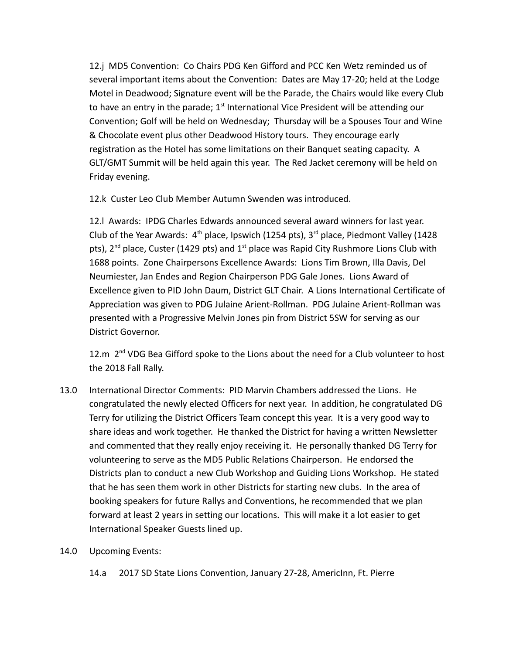12.j MD5 Convention: Co Chairs PDG Ken Gifford and PCC Ken Wetz reminded us of several important items about the Convention: Dates are May 17-20; held at the Lodge Motel in Deadwood; Signature event will be the Parade, the Chairs would like every Club to have an entry in the parade;  $1<sup>st</sup>$  International Vice President will be attending our Convention; Golf will be held on Wednesday; Thursday will be a Spouses Tour and Wine & Chocolate event plus other Deadwood History tours. They encourage early registration as the Hotel has some limitations on their Banquet seating capacity. A GLT/GMT Summit will be held again this year. The Red Jacket ceremony will be held on Friday evening.

12.k Custer Leo Club Member Autumn Swenden was introduced.

12.l Awards: IPDG Charles Edwards announced several award winners for last year. Club of the Year Awards:  $4<sup>th</sup>$  place, Ipswich (1254 pts),  $3<sup>rd</sup>$  place, Piedmont Valley (1428 pts),  $2^{nd}$  place, Custer (1429 pts) and  $1^{st}$  place was Rapid City Rushmore Lions Club with 1688 points. Zone Chairpersons Excellence Awards: Lions Tim Brown, Illa Davis, Del Neumiester, Jan Endes and Region Chairperson PDG Gale Jones. Lions Award of Excellence given to PID John Daum, District GLT Chair. A Lions International Certificate of Appreciation was given to PDG Julaine Arient-Rollman. PDG Julaine Arient-Rollman was presented with a Progressive Melvin Jones pin from District 5SW for serving as our District Governor.

12.m 2<sup>nd</sup> VDG Bea Gifford spoke to the Lions about the need for a Club volunteer to host the 2018 Fall Rally.

- 13.0 International Director Comments: PID Marvin Chambers addressed the Lions. He congratulated the newly elected Officers for next year. In addition, he congratulated DG Terry for utilizing the District Officers Team concept this year. It is a very good way to share ideas and work together. He thanked the District for having a written Newsletter and commented that they really enjoy receiving it. He personally thanked DG Terry for volunteering to serve as the MD5 Public Relations Chairperson. He endorsed the Districts plan to conduct a new Club Workshop and Guiding Lions Workshop. He stated that he has seen them work in other Districts for starting new clubs. In the area of booking speakers for future Rallys and Conventions, he recommended that we plan forward at least 2 years in setting our locations. This will make it a lot easier to get International Speaker Guests lined up.
- 14.0 Upcoming Events:
	- 14.a 2017 SD State Lions Convention, January 27-28, AmericInn, Ft. Pierre